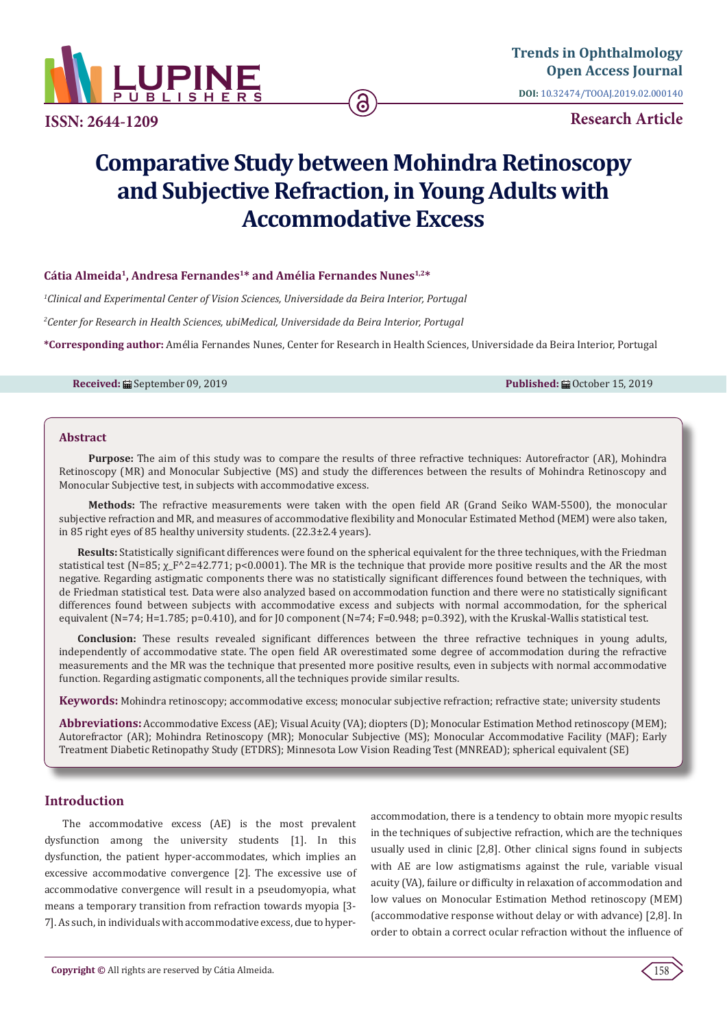

**ISSN: 2644-1209**

# **Research Article**

# **Comparative Study between Mohindra Retinoscopy and Subjective Refraction, in Young Adults with Accommodative Excess**

# **Cátia Almeida1, Andresa Fernandes1\* and Amélia Fernandes Nunes1,2\***

*1 Clinical and Experimental Center of Vision Sciences, Universidade da Beira Interior, Portugal*

*2 Center for Research in Health Sciences, ubiMedical, Universidade da Beira Interior, Portugal*

**\*Corresponding author:** Amélia Fernandes Nunes, Center for Research in Health Sciences, Universidade da Beira Interior, Portugal

**Received:** ■ September 09, 2019 **Published:** ■ Published: ■ October 15, 2019

#### **Abstract**

**Purpose:** The aim of this study was to compare the results of three refractive techniques: Autorefractor (AR), Mohindra Retinoscopy (MR) and Monocular Subjective (MS) and study the differences between the results of Mohindra Retinoscopy and Monocular Subjective test, in subjects with accommodative excess.

**Methods:** The refractive measurements were taken with the open field AR (Grand Seiko WAM-5500), the monocular subjective refraction and MR, and measures of accommodative flexibility and Monocular Estimated Method (MEM) were also taken, in 85 right eyes of 85 healthy university students. (22.3±2.4 years).

**Results:** Statistically significant differences were found on the spherical equivalent for the three techniques, with the Friedman statistical test (N=85;  $\chi$  F^2=42.771; p<0.0001). The MR is the technique that provide more positive results and the AR the most negative. Regarding astigmatic components there was no statistically significant differences found between the techniques, with de Friedman statistical test. Data were also analyzed based on accommodation function and there were no statistically significant differences found between subjects with accommodative excess and subjects with normal accommodation, for the spherical equivalent (N=74; H=1.785; p=0.410), and for J0 component (N=74; F=0.948; p=0.392), with the Kruskal-Wallis statistical test.

**Conclusion:** These results revealed significant differences between the three refractive techniques in young adults, independently of accommodative state. The open field AR overestimated some degree of accommodation during the refractive measurements and the MR was the technique that presented more positive results, even in subjects with normal accommodative function. Regarding astigmatic components, all the techniques provide similar results.

**Keywords:** Mohindra retinoscopy; accommodative excess; monocular subjective refraction; refractive state; university students

**Abbreviations:** Accommodative Excess (AE); Visual Acuity (VA); diopters (D); Monocular Estimation Method retinoscopy (MEM); Autorefractor (AR); Mohindra Retinoscopy (MR); Monocular Subjective (MS); Monocular Accommodative Facility (MAF); Early Treatment Diabetic Retinopathy Study (ETDRS); Minnesota Low Vision Reading Test (MNREAD); spherical equivalent (SE)

# **Introduction**

The accommodative excess (AE) is the most prevalent dysfunction among the university students [1]. In this dysfunction, the patient hyper-accommodates, which implies an excessive accommodative convergence [2]. The excessive use of accommodative convergence will result in a pseudomyopia, what means a temporary transition from refraction towards myopia [3- 7]. As such, in individuals with accommodative excess, due to hyperaccommodation, there is a tendency to obtain more myopic results in the techniques of subjective refraction, which are the techniques usually used in clinic [2,8]. Other clinical signs found in subjects with AE are low astigmatisms against the rule, variable visual acuity (VA), failure or difficulty in relaxation of accommodation and low values on Monocular Estimation Method retinoscopy (MEM) (accommodative response without delay or with advance) [2,8]. In order to obtain a correct ocular refraction without the influence of

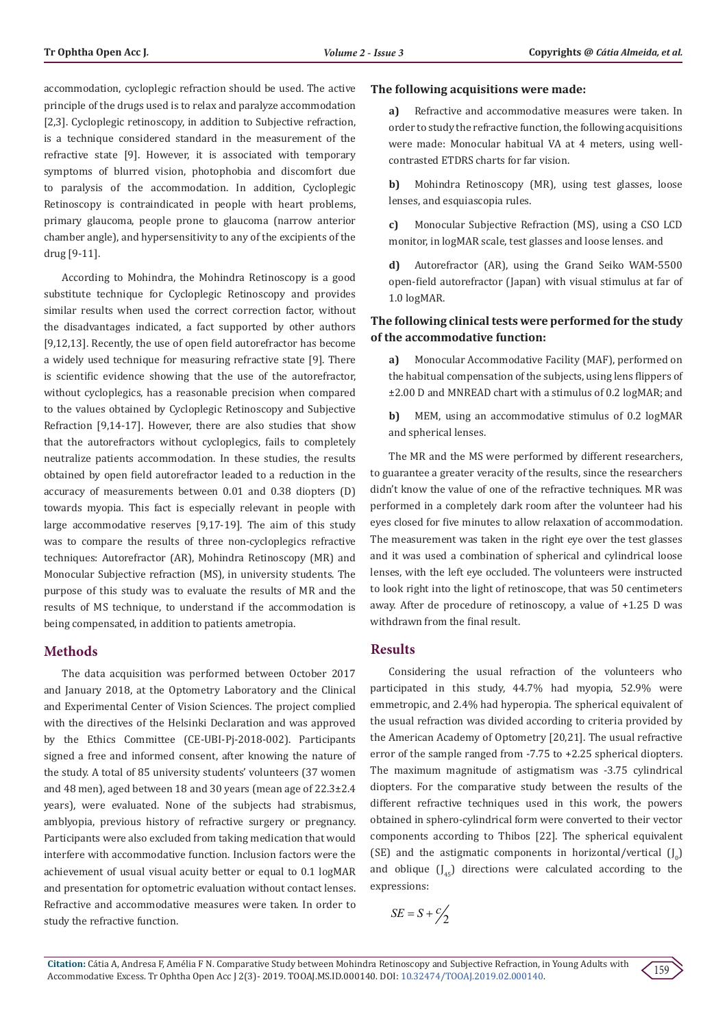accommodation, cycloplegic refraction should be used. The active principle of the drugs used is to relax and paralyze accommodation [2,3]. Cycloplegic retinoscopy, in addition to Subjective refraction, is a technique considered standard in the measurement of the refractive state [9]. However, it is associated with temporary symptoms of blurred vision, photophobia and discomfort due to paralysis of the accommodation. In addition, Cycloplegic Retinoscopy is contraindicated in people with heart problems, primary glaucoma, people prone to glaucoma (narrow anterior chamber angle), and hypersensitivity to any of the excipients of the drug [9-11].

According to Mohindra, the Mohindra Retinoscopy is a good substitute technique for Cycloplegic Retinoscopy and provides similar results when used the correct correction factor, without the disadvantages indicated, a fact supported by other authors [9,12,13]. Recently, the use of open field autorefractor has become a widely used technique for measuring refractive state [9]. There is scientific evidence showing that the use of the autorefractor, without cycloplegics, has a reasonable precision when compared to the values obtained by Cycloplegic Retinoscopy and Subjective Refraction [9,14-17]. However, there are also studies that show that the autorefractors without cycloplegics, fails to completely neutralize patients accommodation. In these studies, the results obtained by open field autorefractor leaded to a reduction in the accuracy of measurements between 0.01 and 0.38 diopters (D) towards myopia. This fact is especially relevant in people with large accommodative reserves [9,17-19]. The aim of this study was to compare the results of three non-cycloplegics refractive techniques: Autorefractor (AR), Mohindra Retinoscopy (MR) and Monocular Subjective refraction (MS), in university students. The purpose of this study was to evaluate the results of MR and the results of MS technique, to understand if the accommodation is being compensated, in addition to patients ametropia.

### **Methods**

The data acquisition was performed between October 2017 and January 2018, at the Optometry Laboratory and the Clinical and Experimental Center of Vision Sciences. The project complied with the directives of the Helsinki Declaration and was approved by the Ethics Committee (CE-UBI-Pj-2018-002). Participants signed a free and informed consent, after knowing the nature of the study. A total of 85 university students' volunteers (37 women and 48 men), aged between 18 and 30 years (mean age of 22.3±2.4 years), were evaluated. None of the subjects had strabismus, amblyopia, previous history of refractive surgery or pregnancy. Participants were also excluded from taking medication that would interfere with accommodative function. Inclusion factors were the achievement of usual visual acuity better or equal to 0.1 logMAR and presentation for optometric evaluation without contact lenses. Refractive and accommodative measures were taken. In order to study the refractive function.

### **The following acquisitions were made:**

**a)** Refractive and accommodative measures were taken. In order to study the refractive function, the following acquisitions were made: Monocular habitual VA at 4 meters, using wellcontrasted ETDRS charts for far vision.

**b)** Mohindra Retinoscopy (MR), using test glasses, loose lenses, and esquiascopia rules.

**c)** Monocular Subjective Refraction (MS), using a CSO LCD monitor, in logMAR scale, test glasses and loose lenses. and

**d)** Autorefractor (AR), using the Grand Seiko WAM-5500 open-field autorefractor (Japan) with visual stimulus at far of 1.0 logMAR.

# **The following clinical tests were performed for the study of the accommodative function:**

**a)** Monocular Accommodative Facility (MAF), performed on the habitual compensation of the subjects, using lens flippers of ±2.00 D and MNREAD chart with a stimulus of 0.2 logMAR; and

**b)** MEM, using an accommodative stimulus of 0.2 logMAR and spherical lenses.

The MR and the MS were performed by different researchers, to guarantee a greater veracity of the results, since the researchers didn't know the value of one of the refractive techniques. MR was performed in a completely dark room after the volunteer had his eyes closed for five minutes to allow relaxation of accommodation. The measurement was taken in the right eye over the test glasses and it was used a combination of spherical and cylindrical loose lenses, with the left eye occluded. The volunteers were instructed to look right into the light of retinoscope, that was 50 centimeters away. After de procedure of retinoscopy, a value of +1.25 D was withdrawn from the final result.

# **Results**

Considering the usual refraction of the volunteers who participated in this study, 44.7% had myopia, 52.9% were emmetropic, and 2.4% had hyperopia. The spherical equivalent of the usual refraction was divided according to criteria provided by the American Academy of Optometry [20,21]. The usual refractive error of the sample ranged from -7.75 to +2.25 spherical diopters. The maximum magnitude of astigmatism was -3.75 cylindrical diopters. For the comparative study between the results of the different refractive techniques used in this work, the powers obtained in sphero-cylindrical form were converted to their vector components according to Thibos [22]. The spherical equivalent (SE) and the astigmatic components in horizontal/vertical  $(J_0)$ and oblique  $(I_{45})$  directions were calculated according to the expressions:

$$
SE = S + \frac{c}{2}
$$

159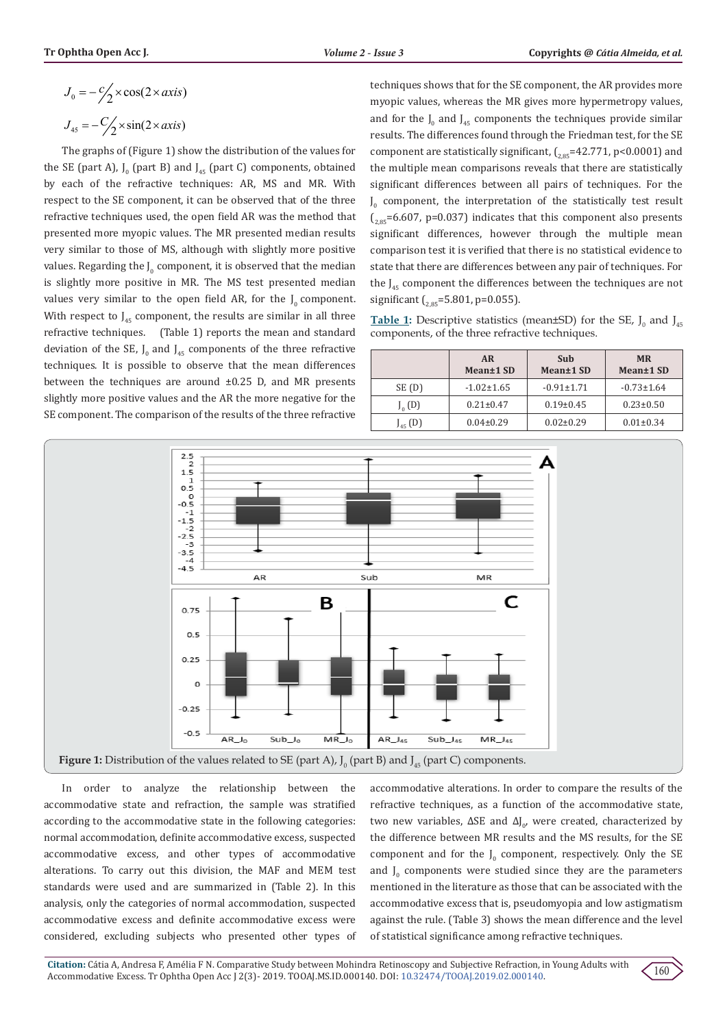$$
J_0 = -\frac{c}{2} \times \cos(2 \times axis)
$$
  

$$
J_{45} = -\frac{c}{2} \times \sin(2 \times axis)
$$

The graphs of (Figure 1) show the distribution of the values for the SE (part A),  $J_0$  (part B) and  $J_{45}$  (part C) components, obtained by each of the refractive techniques: AR, MS and MR. With respect to the SE component, it can be observed that of the three refractive techniques used, the open field AR was the method that presented more myopic values. The MR presented median results very similar to those of MS, although with slightly more positive values. Regarding the  $J_0$  component, it is observed that the median is slightly more positive in MR. The MS test presented median values very similar to the open field AR, for the  $J_0$  component. With respect to  $J_{45}$  component, the results are similar in all three refractive techniques. (Table 1) reports the mean and standard deviation of the SE,  $J_0$  and  $J_{45}$  components of the three refractive techniques. It is possible to observe that the mean differences between the techniques are around ±0.25 D, and MR presents slightly more positive values and the AR the more negative for the SE component. The comparison of the results of the three refractive

techniques shows that for the SE component, the AR provides more myopic values, whereas the MR gives more hypermetropy values, and for the  $J_0$  and  $J_{45}$  components the techniques provide similar results. The differences found through the Friedman test, for the SE component are statistically significant,  $\int_{2.85}$ =42.771, p<0.0001) and the multiple mean comparisons reveals that there are statistically significant differences between all pairs of techniques. For the  $J_0$  component, the interpretation of the statistically test result  $\binom{2.85}{2.85}$ =6.607, p=0.037) indicates that this component also presents significant differences, however through the multiple mean comparison test it is verified that there is no statistical evidence to state that there are differences between any pair of techniques. For the  $J_{45}$  component the differences between the techniques are not significant  $\int_{2.85}$ =5.801, p=0.055).

**Table 1:** Descriptive statistics (mean±SD) for the SE,  $J_0$  and  $J_{45}$ components, of the three refractive techniques.

|              | <b>AR</b><br>Mean <sup>±1</sup> SD | Sub<br>Mean±1 SD | <b>MR</b><br>Mean±1 SD |
|--------------|------------------------------------|------------------|------------------------|
| SE (D)       | $-1.02 \pm 1.65$                   | $-0.91 \pm 1.71$ | $-0.73 \pm 1.64$       |
| $J_0(D)$     | $0.21 \pm 0.47$                    | $0.19 \pm 0.45$  | $0.23 \pm 0.50$        |
| $J_{45}$ (D) | $0.04 \pm 0.29$                    | $0.02 \pm 0.29$  | $0.01 \pm 0.34$        |



In order to analyze the relationship between the accommodative state and refraction, the sample was stratified according to the accommodative state in the following categories: normal accommodation, definite accommodative excess, suspected accommodative excess, and other types of accommodative alterations. To carry out this division, the MAF and MEM test standards were used and are summarized in (Table 2). In this analysis, only the categories of normal accommodation, suspected accommodative excess and definite accommodative excess were considered, excluding subjects who presented other types of accommodative alterations. In order to compare the results of the refractive techniques, as a function of the accommodative state, two new variables,  $\Delta SE$  and  $\Delta J_{0'}$ , were created, characterized by the difference between MR results and the MS results, for the SE component and for the  $J_0$  component, respectively. Only the SE and  $J_0$  components were studied since they are the parameters mentioned in the literature as those that can be associated with the accommodative excess that is, pseudomyopia and low astigmatism against the rule. (Table 3) shows the mean difference and the level of statistical significance among refractive techniques.

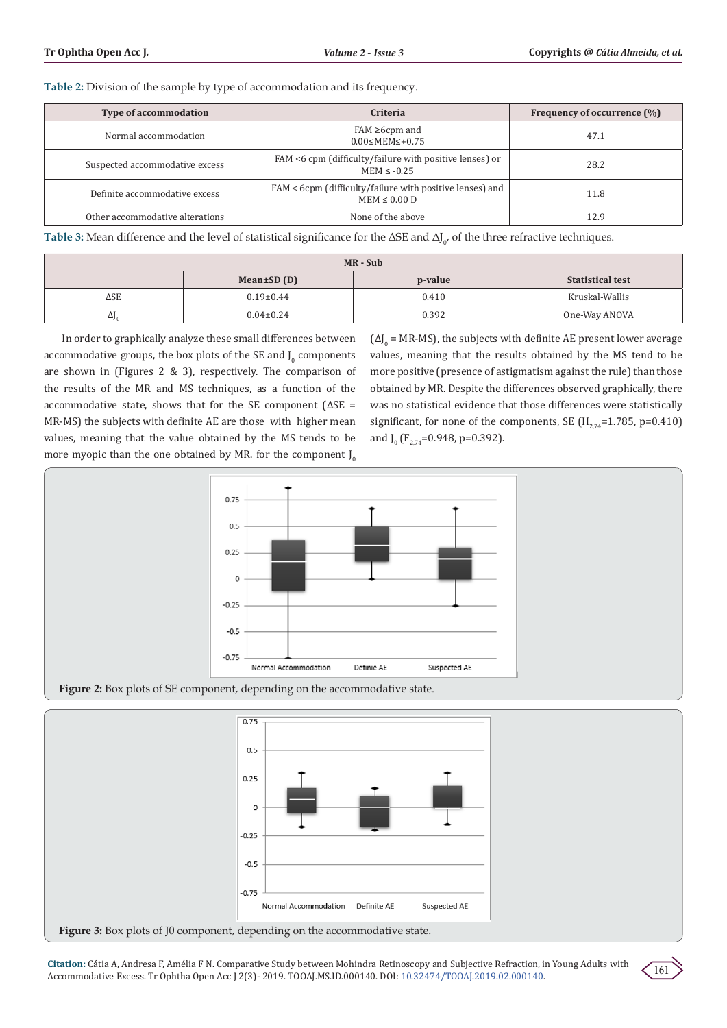**Table 2:** Division of the sample by type of accommodation and its frequency.

| <b>Type of accommodation</b>    | Criteria                                                                      | Frequency of occurrence (%) |
|---------------------------------|-------------------------------------------------------------------------------|-----------------------------|
| Normal accommodation            | $FAM \geq 6$ cpm and<br>$0.00 \leq MEM \leq 0.75$                             | 47.1                        |
| Suspected accommodative excess  | FAM <6 cpm (difficulty/failure with positive lenses) or<br>$MEM \le -0.25$    | 28.2                        |
| Definite accommodative excess   | FAM < 6cpm (difficulty/failure with positive lenses) and<br>$MEM \leq 0.00 D$ | 11.8                        |
| Other accommodative alterations | None of the above                                                             | 12.9                        |

**Table 3:** Mean difference and the level of statistical significance for the  $\Delta SE$  and  $\Delta J_{0'}$  of the three refractive techniques.

| $MR-Sub$     |                  |         |                         |  |  |
|--------------|------------------|---------|-------------------------|--|--|
|              | Mean $\pm SD(D)$ | p-value | <b>Statistical test</b> |  |  |
| ΔSE          | $0.19 \pm 0.44$  | 0.410   | Kruskal-Wallis          |  |  |
| $\Delta J_0$ | $0.04 \pm 0.24$  | 0.392   | One-Way ANOVA           |  |  |

In order to graphically analyze these small differences between accommodative groups, the box plots of the SE and  $J_0$  components are shown in (Figures 2 & 3), respectively. The comparison of the results of the MR and MS techniques, as a function of the accommodative state, shows that for the SE component (ΔSE = MR-MS) the subjects with definite AE are those with higher mean values, meaning that the value obtained by the MS tends to be more myopic than the one obtained by MR. for the component  $J_0$ 

 $(d)_{0}$  = MR-MS), the subjects with definite AE present lower average values, meaning that the results obtained by the MS tend to be more positive (presence of astigmatism against the rule) than those obtained by MR. Despite the differences observed graphically, there was no statistical evidence that those differences were statistically significant, for none of the components, SE  $(H_{274} = 1.785, p = 0.410)$ and  $J_0$  (F<sub>2,74</sub>=0.948, p=0.392).





**Citation:** Cátia A, Andresa F, Amélia F N. Comparative Study between Mohindra Retinoscopy and Subjective Refraction, in Young Adults with Accommodative Excess. Tr Ophtha Open Acc J 2(3)- 2019. TOOAJ.MS.ID.000140. DOI: [10.32474/TOOAJ.2019.02.000140](http://dx.doi.org/10.32474/TOOAJ.2019.02.000140).

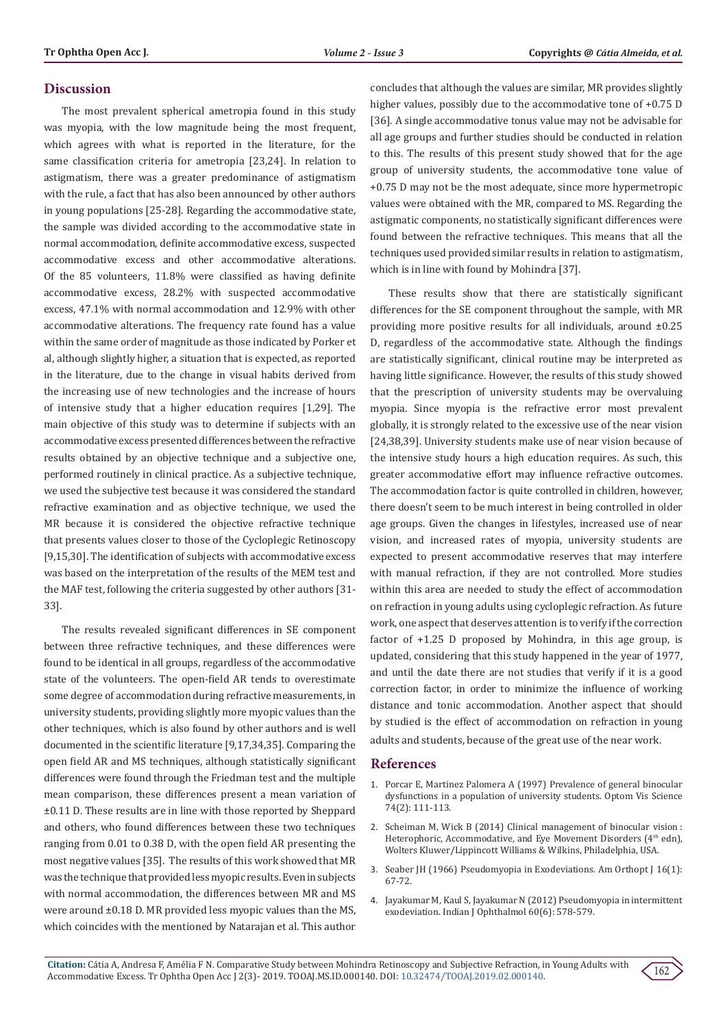## **Discussion**

The most prevalent spherical ametropia found in this study was myopia, with the low magnitude being the most frequent, which agrees with what is reported in the literature, for the same classification criteria for ametropia [23,24]. In relation to astigmatism, there was a greater predominance of astigmatism with the rule, a fact that has also been announced by other authors in young populations [25-28]. Regarding the accommodative state, the sample was divided according to the accommodative state in normal accommodation, definite accommodative excess, suspected accommodative excess and other accommodative alterations. Of the 85 volunteers, 11.8% were classified as having definite accommodative excess, 28.2% with suspected accommodative excess, 47.1% with normal accommodation and 12.9% with other accommodative alterations. The frequency rate found has a value within the same order of magnitude as those indicated by Porker et al, although slightly higher, a situation that is expected, as reported in the literature, due to the change in visual habits derived from the increasing use of new technologies and the increase of hours of intensive study that a higher education requires [1,29]. The main objective of this study was to determine if subjects with an accommodative excess presented differences between the refractive results obtained by an objective technique and a subjective one, performed routinely in clinical practice. As a subjective technique, we used the subjective test because it was considered the standard refractive examination and as objective technique, we used the MR because it is considered the objective refractive technique that presents values closer to those of the Cycloplegic Retinoscopy [9,15,30]. The identification of subjects with accommodative excess was based on the interpretation of the results of the MEM test and the MAF test, following the criteria suggested by other authors [31- 33].

The results revealed significant differences in SE component between three refractive techniques, and these differences were found to be identical in all groups, regardless of the accommodative state of the volunteers. The open-field AR tends to overestimate some degree of accommodation during refractive measurements, in university students, providing slightly more myopic values than the other techniques, which is also found by other authors and is well documented in the scientific literature [9,17,34,35]. Comparing the open field AR and MS techniques, although statistically significant differences were found through the Friedman test and the multiple mean comparison, these differences present a mean variation of ±0.11 D. These results are in line with those reported by Sheppard and others, who found differences between these two techniques ranging from 0.01 to 0.38 D, with the open field AR presenting the most negative values [35]. The results of this work showed that MR was the technique that provided less myopic results. Even in subjects with normal accommodation, the differences between MR and MS were around ±0.18 D. MR provided less myopic values than the MS, which coincides with the mentioned by Natarajan et al. This author

concludes that although the values are similar, MR provides slightly higher values, possibly due to the accommodative tone of +0.75 D [36]. A single accommodative tonus value may not be advisable for all age groups and further studies should be conducted in relation to this. The results of this present study showed that for the age group of university students, the accommodative tone value of +0.75 D may not be the most adequate, since more hypermetropic values were obtained with the MR, compared to MS. Regarding the astigmatic components, no statistically significant differences were found between the refractive techniques. This means that all the techniques used provided similar results in relation to astigmatism, which is in line with found by Mohindra [37].

These results show that there are statistically significant differences for the SE component throughout the sample, with MR providing more positive results for all individuals, around ±0.25 D, regardless of the accommodative state. Although the findings are statistically significant, clinical routine may be interpreted as having little significance. However, the results of this study showed that the prescription of university students may be overvaluing myopia. Since myopia is the refractive error most prevalent globally, it is strongly related to the excessive use of the near vision [24,38,39]. University students make use of near vision because of the intensive study hours a high education requires. As such, this greater accommodative effort may influence refractive outcomes. The accommodation factor is quite controlled in children, however, there doesn't seem to be much interest in being controlled in older age groups. Given the changes in lifestyles, increased use of near vision, and increased rates of myopia, university students are expected to present accommodative reserves that may interfere with manual refraction, if they are not controlled. More studies within this area are needed to study the effect of accommodation on refraction in young adults using cycloplegic refraction. As future work, one aspect that deserves attention is to verify if the correction factor of +1.25 D proposed by Mohindra, in this age group, is updated, considering that this study happened in the year of 1977, and until the date there are not studies that verify if it is a good correction factor, in order to minimize the influence of working distance and tonic accommodation. Another aspect that should by studied is the effect of accommodation on refraction in young adults and students, because of the great use of the near work.

#### **References**

- 1. [Porcar E, Martinez Palomera A \(1997\) Prevalence of general binocular](https://www.ncbi.nlm.nih.gov/pubmed/9097328) [dysfunctions in a population of university students. Optom Vis Science](https://www.ncbi.nlm.nih.gov/pubmed/9097328) [74\(2\): 111-113.](https://www.ncbi.nlm.nih.gov/pubmed/9097328)
- 2. [Scheiman M, Wick B \(2014\) Clinical management of binocular vision :](https://www.researchgate.net/publication/304823071_Clinical_management_of_binocular_vision_Heterophoric_accommodative_and_eye_movement_disorders_Fourth_edition) [Heterophoric, Accommodative, and Eye Movement Disorders \(](https://www.researchgate.net/publication/304823071_Clinical_management_of_binocular_vision_Heterophoric_accommodative_and_eye_movement_disorders_Fourth_edition)4<sup>th</sup> edn), [Wolters Kluwer/Lippincott Williams & Wilkins, Philadelphia, USA.](https://www.researchgate.net/publication/304823071_Clinical_management_of_binocular_vision_Heterophoric_accommodative_and_eye_movement_disorders_Fourth_edition)
- 3. [Seaber JH \(1966\) Pseudomyopia in Exodeviations. Am Orthopt J 16\(1\):](https://www.ncbi.nlm.nih.gov/pubmed/5936923) [67-72.](https://www.ncbi.nlm.nih.gov/pubmed/5936923)
- 4. [Jayakumar M, Kaul S, Jayakumar N \(2012\) Pseudomyopia in intermittent](https://www.ncbi.nlm.nih.gov/pubmed/23202407/) [exodeviation. Indian J Ophthalmol 60\(6\): 578-579.](https://www.ncbi.nlm.nih.gov/pubmed/23202407/)

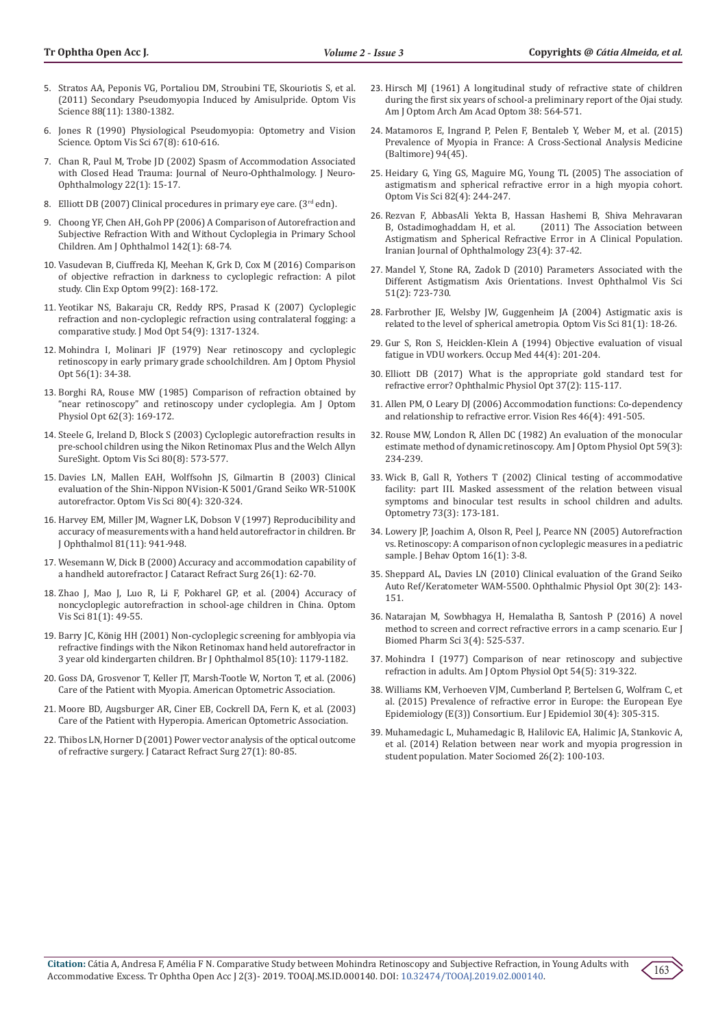- 5. [Stratos AA, Peponis VG, Portaliou DM, Stroubini TE, Skouriotis S, et al.](https://www.ncbi.nlm.nih.gov/pubmed/21822161)  [\(2011\) Secondary Pseudomyopia Induced by Amisulpride. Optom Vis](https://www.ncbi.nlm.nih.gov/pubmed/21822161)  [Science 88\(11\): 1380-1382.](https://www.ncbi.nlm.nih.gov/pubmed/21822161)
- 6. [Jones R \(1990\) Physiological Pseudomyopia: Optometry and Vision](https://wwww.unboundmedicine.com/medline/citation/2216328/Physiological_pseudomyopia_)  [Science. Optom Vis Sci 67\(8\): 610-616.](https://wwww.unboundmedicine.com/medline/citation/2216328/Physiological_pseudomyopia_)
- 7. [Chan R, Paul M, Trobe JD \(2002\) Spasm of Accommodation Associated](https://www.ncbi.nlm.nih.gov/pubmed/11937900)  [with Closed Head Trauma: Journal of Neuro-Ophthalmology. J Neuro-](https://www.ncbi.nlm.nih.gov/pubmed/11937900)[Ophthalmology 22\(1\): 15-17.](https://www.ncbi.nlm.nih.gov/pubmed/11937900)
- 8. [Elliott DB \(2007\) Clinical procedures in primary eye care. \(](https://www.elsevier.com/books/clinical-procedures-in-primary-eye-care/elliott/978-0-7506-8896-3) $3<sup>rd</sup>$  edn).
- 9. [Choong YF, Chen AH, Goh PP \(2006\) A Comparison of Autorefraction and](https://www.ncbi.nlm.nih.gov/pubmed/16815252)  [Subjective Refraction With and Without Cycloplegia in Primary School](https://www.ncbi.nlm.nih.gov/pubmed/16815252)  [Children. Am J Ophthalmol 142\(1\): 68-74.](https://www.ncbi.nlm.nih.gov/pubmed/16815252)
- 10. [Vasudevan B, Ciuffreda KJ, Meehan K, Grk D, Cox M \(2016\) Comparison](https://www.ncbi.nlm.nih.gov/pubmed/26888570)  [of objective refraction in darkness to cycloplegic refraction: A pilot](https://www.ncbi.nlm.nih.gov/pubmed/26888570)  [study. Clin Exp Optom 99\(2\): 168-172.](https://www.ncbi.nlm.nih.gov/pubmed/26888570)
- 11. [Yeotikar NS, Bakaraju CR, Reddy RPS, Prasad K \(2007\) Cycloplegic](https://www.tandfonline.com/doi/abs/10.1080/09500340600855346?journalCode=tmop20)  [refraction and non-cycloplegic refraction using contralateral fogging: a](https://www.tandfonline.com/doi/abs/10.1080/09500340600855346?journalCode=tmop20)  [comparative study. J Mod Opt 54\(9\): 1317-1324.](https://www.tandfonline.com/doi/abs/10.1080/09500340600855346?journalCode=tmop20)
- 12. [Mohindra I, Molinari JF \(1979\) Near retinoscopy and cycloplegic](https://www.ncbi.nlm.nih.gov/pubmed/484702)  [retinoscopy in early primary grade schoolchildren. Am J Optom Physiol](https://www.ncbi.nlm.nih.gov/pubmed/484702)  [Opt 56\(1\): 34-38.](https://www.ncbi.nlm.nih.gov/pubmed/484702)
- 13. [Borghi RA, Rouse MW \(1985\) Comparison of refraction obtained by](https://www.ncbi.nlm.nih.gov/pubmed/3985109)  ["near retinoscopy" and retinoscopy under cycloplegia. Am J Optom](https://www.ncbi.nlm.nih.gov/pubmed/3985109)  [Physiol Opt 62\(3\): 169-172.](https://www.ncbi.nlm.nih.gov/pubmed/3985109)
- 14. [Steele G, Ireland D, Block S \(2003\) Cycloplegic autorefraction results in](https://www.ncbi.nlm.nih.gov/pubmed/12917576)  [pre-school children using the Nikon Retinomax Plus and the Welch Allyn](https://www.ncbi.nlm.nih.gov/pubmed/12917576)  [SureSight. Optom Vis Sci 80\(8\): 573-577.](https://www.ncbi.nlm.nih.gov/pubmed/12917576)
- 15. [Davies LN, Mallen EAH, Wolffsohn JS, Gilmartin B \(2003\) Clinical](https://www.ncbi.nlm.nih.gov/pubmed/12692490)  [evaluation of the Shin-Nippon NVision-K 5001/Grand Seiko WR-5100K](https://www.ncbi.nlm.nih.gov/pubmed/12692490)  [autorefractor. Optom Vis Sci 80\(4\): 320-324.](https://www.ncbi.nlm.nih.gov/pubmed/12692490)
- 16. [Harvey EM, Miller JM, Wagner LK, Dobson V \(1997\) Reproducibility and](https://www.ncbi.nlm.nih.gov/pubmed/9505815)  [accuracy of measurements with a hand held autorefractor in children. Br](https://www.ncbi.nlm.nih.gov/pubmed/9505815)  [J Ophthalmol 81\(11\): 941-948.](https://www.ncbi.nlm.nih.gov/pubmed/9505815)
- 17. [Wesemann W, Dick B \(2000\) Accuracy and accommodation capability of](https://www.ncbi.nlm.nih.gov/pubmed/10646148)  [a handheld autorefractor. J Cataract Refract Surg 26\(1\): 62-70.](https://www.ncbi.nlm.nih.gov/pubmed/10646148)
- 18. [Zhao J, Mao J, Luo R, Li F, Pokharel GP, et al. \(2004\) Accuracy of](https://www.ncbi.nlm.nih.gov/pubmed/14747761)  [noncycloplegic autorefraction in school-age children in China. Optom](https://www.ncbi.nlm.nih.gov/pubmed/14747761)  [Vis Sci 81\(1\): 49-55.](https://www.ncbi.nlm.nih.gov/pubmed/14747761)
- 19. Barry JC, Kö[nig HH \(2001\) Non-cycloplegic screening for amblyopia via](https://www.ncbi.nlm.nih.gov/pubmed/11567961)  [refractive findings with the Nikon Retinomax hand held autorefractor in](https://www.ncbi.nlm.nih.gov/pubmed/11567961)  [3 year old kindergarten children. Br J Ophthalmol 85\(10\): 1179-1182.](https://www.ncbi.nlm.nih.gov/pubmed/11567961)
- 20. [Goss DA, Grosvenor T, Keller JT, Marsh-Tootle W, Norton T, et al. \(2006\)](https://www.aoa.org/documents/optometrists/CPG-15.pdf)  [Care of the Patient with Myopia. American Optometric Association.](https://www.aoa.org/documents/optometrists/CPG-15.pdf)
- 21. [Moore BD, Augsburger AR, Ciner EB, Cockrell DA, Fern K, et al. \(2003\)](https://www.aoa.org/documents/optometrists/QRG-16.pdf)  [Care of the Patient with Hyperopia. American Optometric Association.](https://www.aoa.org/documents/optometrists/QRG-16.pdf)
- 22. [Thibos LN, Horner D \(2001\) Power vector analysis of the optical outcome](https://www.ncbi.nlm.nih.gov/pubmed/11165859)  [of refractive surgery. J Cataract Refract Surg 27\(1\): 80-85.](https://www.ncbi.nlm.nih.gov/pubmed/11165859)
- 23. [Hirsch MJ \(1961\) A longitudinal study of refractive state of children](https://www.ncbi.nlm.nih.gov/pubmed/13907707) [during the first six years of school-a preliminary report of the Ojai study.](https://www.ncbi.nlm.nih.gov/pubmed/13907707) [Am J Optom Arch Am Acad Optom 38: 564-571.](https://www.ncbi.nlm.nih.gov/pubmed/13907707)
- 24. [Matamoros E, Ingrand P, Pelen F, Bentaleb Y, Weber M, et al. \(2015\)](https://www.ncbi.nlm.nih.gov/pubmed/26559276/) [Prevalence of Myopia in France: A Cross-Sectional Analysis Medicine](https://www.ncbi.nlm.nih.gov/pubmed/26559276/) [\(Baltimore\) 94\(45\).](https://www.ncbi.nlm.nih.gov/pubmed/26559276/)
- 25. [Heidary G, Ying GS, Maguire MG, Young TL \(2005\) The association of](https://www.ncbi.nlm.nih.gov/pubmed/15829852) [astigmatism and spherical refractive error in a high myopia cohort.](https://www.ncbi.nlm.nih.gov/pubmed/15829852) [Optom Vis Sci 82\(4\): 244-247.](https://www.ncbi.nlm.nih.gov/pubmed/15829852)
- 26. [Rezvan F, AbbasAli Yekta B, Hassan Hashemi B, Shiva Mehravaran](http://irjo.org/browse.php?a_id=545&sid=1&slc_lang=en) [B, Ostadimoghaddam H, et al. \(2011\) The Association between](http://irjo.org/browse.php?a_id=545&sid=1&slc_lang=en) [Astigmatism and Spherical Refractive Error in A Clinical Population.](http://irjo.org/browse.php?a_id=545&sid=1&slc_lang=en) [Iranian Journal of Ophthalmology 23\(4\): 37-42.](http://irjo.org/browse.php?a_id=545&sid=1&slc_lang=en)
- 27. [Mandel Y, Stone RA, Zadok D \(2010\) Parameters Associated with the](https://www.ncbi.nlm.nih.gov/pubmed/19797211) [Different Astigmatism Axis Orientations](https://www.ncbi.nlm.nih.gov/pubmed/19797211). Invest Ophthalmol Vis Sci [51\(2\): 723-730.](https://www.ncbi.nlm.nih.gov/pubmed/19797211)
- 28. [Farbrother JE, Welsby JW, Guggenheim JA \(2004\) Astigmatic axis is](https://www.ncbi.nlm.nih.gov/pubmed/14747757) [related to the level of spherical ametropia. Optom Vis Sci 81\(1\): 18-26.](https://www.ncbi.nlm.nih.gov/pubmed/14747757)
- 29. [Gur S, Ron S, Heicklen-Klein A \(1994\) Objective evaluation of visual](https://www.ncbi.nlm.nih.gov/pubmed/7949062) [fatigue in VDU workers. Occup Med 44\(4\): 201-204.](https://www.ncbi.nlm.nih.gov/pubmed/7949062)
- 30. [Elliott DB \(2017\) What is the appropriate gold standard test for](https://www.ncbi.nlm.nih.gov/pubmed/28211178) [refractive error? Ophthalmic Physiol Opt 37\(2\): 115-117.](https://www.ncbi.nlm.nih.gov/pubmed/28211178)
- 31. [Allen PM, O Leary DJ \(2006\) Accommodation functions: Co-dependency](https://www.ncbi.nlm.nih.gov/pubmed/16009391) [and relationship to refractive error. Vision Res 46\(4\): 491-505.](https://www.ncbi.nlm.nih.gov/pubmed/16009391)
- 32. [Rouse MW, London R, Allen DC \(1982\) An evaluation of the monocular](https://www.ncbi.nlm.nih.gov/pubmed/7072827) [estimate method of dynamic retinoscopy. Am J Optom Physiol Opt 59\(3\):](https://www.ncbi.nlm.nih.gov/pubmed/7072827) [234-239.](https://www.ncbi.nlm.nih.gov/pubmed/7072827)
- 33. [Wick B, Gall R, Yothers T \(2002\) Clinical testing of accommodative](https://www.ncbi.nlm.nih.gov/pubmed/12365701) [facility: part III. Masked assessment of the relation between visual](https://www.ncbi.nlm.nih.gov/pubmed/12365701) [symptoms and binocular test results in school children and adults.](https://www.ncbi.nlm.nih.gov/pubmed/12365701) [Optometry 73\(3\): 173-181.](https://www.ncbi.nlm.nih.gov/pubmed/12365701)
- 34. Lowery JP, Joachim A, Olson R, Peel J, Pearce NN (2005) Autorefraction vs. Retinoscopy: A comparison of non cycloplegic measures in a pediatric sample. J Behav Optom 16(1): 3-8.
- 35. [Sheppard AL, Davies LN \(2010\) Clinical evaluation of the Grand Seiko](https://www.ncbi.nlm.nih.gov/pubmed/20444118) [Auto Ref/Keratometer WAM-5500. Ophthalmic Physiol Opt 30\(2\): 143-](https://www.ncbi.nlm.nih.gov/pubmed/20444118) [151.](https://www.ncbi.nlm.nih.gov/pubmed/20444118)
- 36. Natarajan M, Sowbhagya H, Hemalatha B, Santosh P (2016) A novel method to screen and correct refractive errors in a camp scenario. Eur J Biomed Pharm Sci 3(4): 525-537.
- 37. [Mohindra I \(1977\) Comparison of near retinoscopy and subjective](https://www.ncbi.nlm.nih.gov/pubmed/900252) [refraction in adults. Am J Optom Physiol Opt 54\(5\): 319-322.](https://www.ncbi.nlm.nih.gov/pubmed/900252)
- 38. [Williams KM, Verhoeven VJM, Cumberland P, Bertelsen G, Wolfram C, et](https://www.ncbi.nlm.nih.gov/pubmed/25784363) [al. \(2015\) Prevalence of refractive error in Europe: the European Eye](https://www.ncbi.nlm.nih.gov/pubmed/25784363) [Epidemiology \(E\(3\)\) Consortium. Eur J Epidemiol 30\(4\): 305-315.](https://www.ncbi.nlm.nih.gov/pubmed/25784363)
- 39. [Muhamedagic L, Muhamedagic B, Halilovic EA, Halimic JA, Stankovic A,](https://www.ncbi.nlm.nih.gov/pubmed/24944532) [et al. \(2014\) Relation between near work and myopia progression in](https://www.ncbi.nlm.nih.gov/pubmed/24944532) [student population. Mater Sociomed 26\(2\): 100-103.](https://www.ncbi.nlm.nih.gov/pubmed/24944532)

163